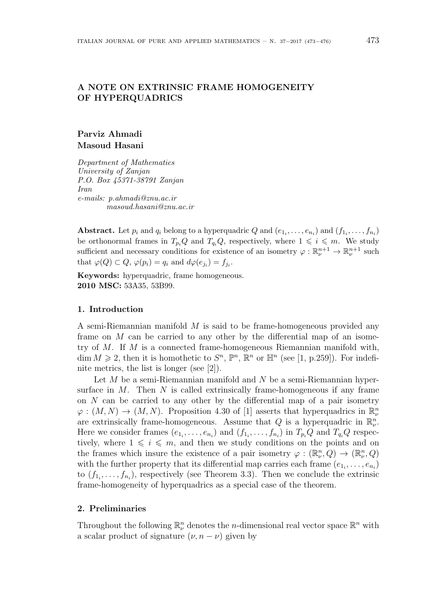# **A NOTE ON EXTRINSIC FRAME HOMOGENEITY OF HYPERQUADRICS**

## **Parviz Ahmadi Masoud Hasani**

*Department of Mathematics University of Zanjan P.O. Box 45371-38791 Zanjan Iran e-mails: p.ahmadi@znu.ac.ir masoud.hasani@znu.ac.ir*

Abstract. Let  $p_i$  and  $q_i$  belong to a hyperquadric  $Q$  and  $(e_{1_i}, \ldots, e_{n_i})$  and  $(f_{1_i}, \ldots, f_{n_i})$ be orthonormal frames in  $T_{p_i}Q$  and  $T_{q_i}Q$ , respectively, where  $1 \leq i \leq m$ . We study sufficient and necessary conditions for existence of an isometry  $\varphi : \mathbb{R}^{n+1}_{\nu} \to \mathbb{R}^{n+1}_{\nu}$  such that  $\varphi(Q) \subset Q$ ,  $\varphi(p_i) = q_i$  and  $d\varphi(e_{j_i}) = f_{j_i}$ .

**Keywords:** hyperquadric, frame homogeneous. **2010 MSC:** 53A35, 53B99.

### **1. Introduction**

A semi-Riemannian manifold *M* is said to be frame-homogeneous provided any frame on *M* can be carried to any other by the differential map of an isometry of *M*. If *M* is a connected frame-homogeneous Riemannian manifold with, dim  $M \ge 2$ , then it is homothetic to  $S<sup>n</sup>$ ,  $\mathbb{P}<sup>n</sup>$ ,  $\mathbb{R}<sup>n</sup>$  or  $\mathbb{H}<sup>n</sup>$  (see [1, p.259]). For indefinite metrics, the list is longer (see [2]).

Let *M* be a semi-Riemannian manifold and *N* be a semi-Riemannian hypersurface in *M*. Then *N* is called extrinsically frame-homogeneous if any frame on *N* can be carried to any other by the differential map of a pair isometry  $\varphi : (M, N) \to (M, N)$ . Proposition 4.30 of [1] asserts that hyperquadrics in  $\mathbb{R}^n_\nu$ are extrinsically frame-homogeneous. Assume that  $Q$  is a hyperquadric in  $\mathbb{R}^n_{\nu}$ . Here we consider frames  $(e_{1_i}, \ldots, e_{n_i})$  and  $(f_{1_i}, \ldots, f_{n_i})$  in  $T_{p_i}Q$  and  $T_{q_i}Q$  respectively, where  $1 \leq i \leq m$ , and then we study conditions on the points and on the frames which insure the existence of a pair isometry  $\varphi : (\mathbb{R}^n_\nu, Q) \to (\mathbb{R}^n_\nu, Q)$ with the further property that its differential map carries each frame  $(e_{1_i}, \ldots, e_{n_i})$ to  $(f_{1_i},\ldots,f_{n_i})$ , respectively (see Theorem 3.3). Then we conclude the extrinsic frame-homogeneity of hyperquadrics as a special case of the theorem.

### **2. Preliminaries**

Throughout the following  $\mathbb{R}^n_\nu$  denotes the *n*-dimensional real vector space  $\mathbb{R}^n$  with a scalar product of signature  $(\nu, n - \nu)$  given by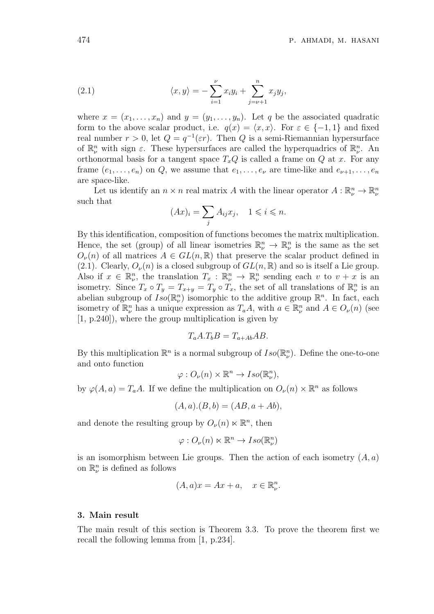(2.1) 
$$
\langle x, y \rangle = -\sum_{i=1}^{\nu} x_i y_i + \sum_{j=\nu+1}^{n} x_j y_j,
$$

where  $x = (x_1, \ldots, x_n)$  and  $y = (y_1, \ldots, y_n)$ . Let q be the associated quadratic form to the above scalar product, i.e.  $q(x) = \langle x, x \rangle$ . For  $\varepsilon \in \{-1, 1\}$  and fixed real number  $r > 0$ , let  $Q = q^{-1}(\varepsilon r)$ . Then  $Q$  is a semi-Riemannian hypersurface of  $\mathbb{R}^n_\nu$  with sign  $\varepsilon$ . These hypersurfaces are called the hyperquadrics of  $\mathbb{R}^n_\nu$ . An orthonormal basis for a tangent space  $T_xQ$  is called a frame on  $Q$  at  $x$ . For any frame  $(e_1, \ldots, e_n)$  on *Q*, we assume that  $e_1, \ldots, e_{\nu}$  are time-like and  $e_{\nu+1}, \ldots, e_n$ are space-like.

Let us identify an  $n \times n$  real matrix *A* with the linear operator  $A: \mathbb{R}^n_\nu \to \mathbb{R}^n_\nu$ such that

$$
(Ax)_i = \sum_j A_{ij} x_j, \quad 1 \leqslant i \leqslant n.
$$

By this identification, composition of functions becomes the matrix multiplication. Hence, the set (group) of all linear isometries  $\mathbb{R}^n_{\nu} \to \mathbb{R}^n_{\nu}$  is the same as the set  $O_\nu(n)$  of all matrices  $A \in GL(n, \mathbb{R})$  that preserve the scalar product defined in (2.1). Clearly,  $O_\nu(n)$  is a closed subgroup of  $GL(n,\mathbb{R})$  and so is itself a Lie group. Also if  $x \in \mathbb{R}^n_\nu$ , the translation  $T_x : \mathbb{R}^n_\nu \to \mathbb{R}^n_\nu$  sending each  $v$  to  $v + x$  is an isometry. Since  $T_x \circ T_y = T_{x+y} = T_y \circ T_x$ , the set of all translations of  $\mathbb{R}^n_\nu$  is an abelian subgroup of  $Iso(\mathbb{R}^n_\nu)$  isomorphic to the additive group  $\mathbb{R}^n$ . In fact, each isometry of  $\mathbb{R}^n_\nu$  has a unique expression as  $T_aA$ , with  $a \in \mathbb{R}^n_\nu$  and  $A \in O_\nu(n)$  (see [1, p.240]), where the group multiplication is given by

$$
T_a A.T_b B = T_{a+Ab} AB.
$$

By this multiplication  $\mathbb{R}^n$  is a normal subgroup of  $Iso(\mathbb{R}^n_\nu)$ . Define the one-to-one and onto function

$$
\varphi: O_{\nu}(n) \times \mathbb{R}^n \to Iso(\mathbb{R}^n_{\nu}),
$$

by  $\varphi(A, a) = T_a A$ . If we define the multiplication on  $O_\nu(n) \times \mathbb{R}^n$  as follows

$$
(A, a) . (B, b) = (AB, a + Ab),
$$

and denote the resulting group by  $O_{\nu}(n) \ltimes \mathbb{R}^{n}$ , then

$$
\varphi: O_{\nu}(n) \ltimes \mathbb{R}^n \to Iso(\mathbb{R}^n_{\nu})
$$

is an isomorphism between Lie groups. Then the action of each isometry (*A, a*) on  $\mathbb{R}^n_\nu$  is defined as follows

$$
(A, a)x = Ax + a, \quad x \in \mathbb{R}^n_\nu.
$$

#### **3. Main result**

The main result of this section is Theorem 3.3. To prove the theorem first we recall the following lemma from [1, p.234].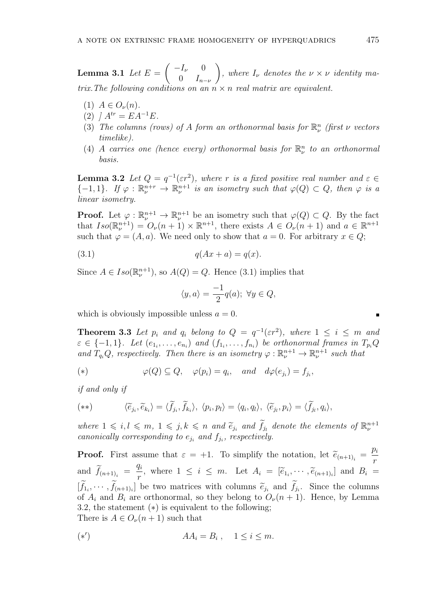$\bf{Lemma 3.1}$  *Let*  $E =$  $\left( \begin{array}{cc} -I_{\nu} & 0 \end{array} \right)$  $0 \t I_{n-\nu}$  $\setminus$ *, where*  $I_{\nu}$  *denotes the*  $\nu \times \nu$  *identity matrix.The following conditions on an n × n real matrix are equivalent.*

- $(1)$   $A \in O_{\nu}(n)$ .
- $(2)$  *]*  $A^{tr} = EA^{-1}E$ .
- (3) *The columns (rows) of A form an orthonormal basis for*  $\mathbb{R}^n_\nu$  *(first*  $\nu$  *vectors timelike).*
- (4) *A carries one* (hence every) orthonormal basis for  $\mathbb{R}^n_\nu$  to an orthonormal *basis.*

**Lemma 3.2** *Let*  $Q = q^{-1}(\varepsilon r^2)$ *, where r is a fixed positive real number and*  $\varepsilon \in$  $\{-1, 1\}$ *. If*  $\varphi : \mathbb{R}^{n+r}_{\nu} \to \mathbb{R}^{n+1}_{\nu}$  *is an isometry such that*  $\varphi(Q) \subset Q$ *, then*  $\varphi$  *is a linear isometry.*

**Proof.** Let  $\varphi : \mathbb{R}^{n+1} \to \mathbb{R}^{n+1}$  be an isometry such that  $\varphi(Q) \subset Q$ . By the fact that  $Iso(\mathbb{R}^{n+1}_{\nu}) = O_{\nu}(n+1) \times \mathbb{R}^{n+1}$ , there exists  $A \in O_{\nu}(n+1)$  and  $a \in \mathbb{R}^{n+1}$ such that  $\varphi = (A, a)$ . We need only to show that  $a = 0$ . For arbitrary  $x \in Q$ ;

$$
(3.1) \t\t q(Ax + a) = q(x).
$$

Since  $A \in Iso(\mathbb{R}_{\nu}^{n+1})$ , so  $A(Q) = Q$ . Hence (3.1) implies that

$$
\langle y, a \rangle = \frac{-1}{2} q(a); \ \forall y \in Q,
$$

which is obviously impossible unless  $a = 0$ .

**Theorem 3.3** *Let*  $p_i$  *and*  $q_i$  *belong to*  $Q = q^{-1}(\varepsilon r^2)$ *, where*  $1 \leq i \leq m$  *and*  $\varepsilon \in \{-1,1\}$ . Let  $(e_{1_i}, \ldots, e_{n_i})$  and  $(f_{1_i}, \ldots, f_{n_i})$  be orthonormal frames in  $T_{p_i}Q$ *and*  $T_{q_i}Q$ *, respectively. Then there is an isometry*  $\varphi : \mathbb{R}^{n+1}_{\nu} \to \mathbb{R}^{n+1}_{\nu}$  such that

(\*) 
$$
\varphi(Q) \subseteq Q, \quad \varphi(p_i) = q_i, \quad \text{and} \quad d\varphi(e_{j_i}) = f_{j_i},
$$

*if and only if*

$$
(**) \qquad \langle \widetilde{e}_{j_i}, \widetilde{e}_{k_i} \rangle = \langle \widetilde{f}_{j_i}, \widetilde{f}_{k_i} \rangle, \langle p_i, p_l \rangle = \langle q_i, q_l \rangle, \langle \widetilde{e}_{j_l}, p_i \rangle = \langle \widetilde{f}_{j_l}, q_i \rangle,
$$

*where*  $1 \leq i, l \leq m, 1 \leq j, k \leq n$  and  $\tilde{e}_{j_i}$  and  $f_{j_l}$  denote the elements of  $\mathbb{R}^{n+1}_{\nu}$ *canonically corresponding to*  $e_{j_i}$  *and*  $f_{j_i}$ *, respectively.* 

**Proof.** First assume that  $\varepsilon = +1$ . To simplify the notation, let  $\tilde{e}_{(n+1)_i} =$ *pi r* and  $f_{(n+1)_i}$  = *qi*  $\frac{n}{r}$ , where  $1 \leq i \leq m$ . Let  $A_i = [\tilde{e}_{1_i}, \cdots, \tilde{e}_{(n+1)_i}]$  and  $B_i =$  $[f_{1_i}, \cdots, f_{(n+1)_i}]$  be two matrices with columns  $\tilde{e}_{j_i}$  and  $f_{j_i}$ . Since the columns of  $A_i$  and  $B_i$  are orthonormal, so they belong to  $O_\nu(n+1)$ . Hence, by Lemma 3.2, the statement (*∗*) is equivalent to the following; There is  $A \in O_\nu(n+1)$  such that

$$
A A_i = B_i , \quad 1 \le i \le m.
$$